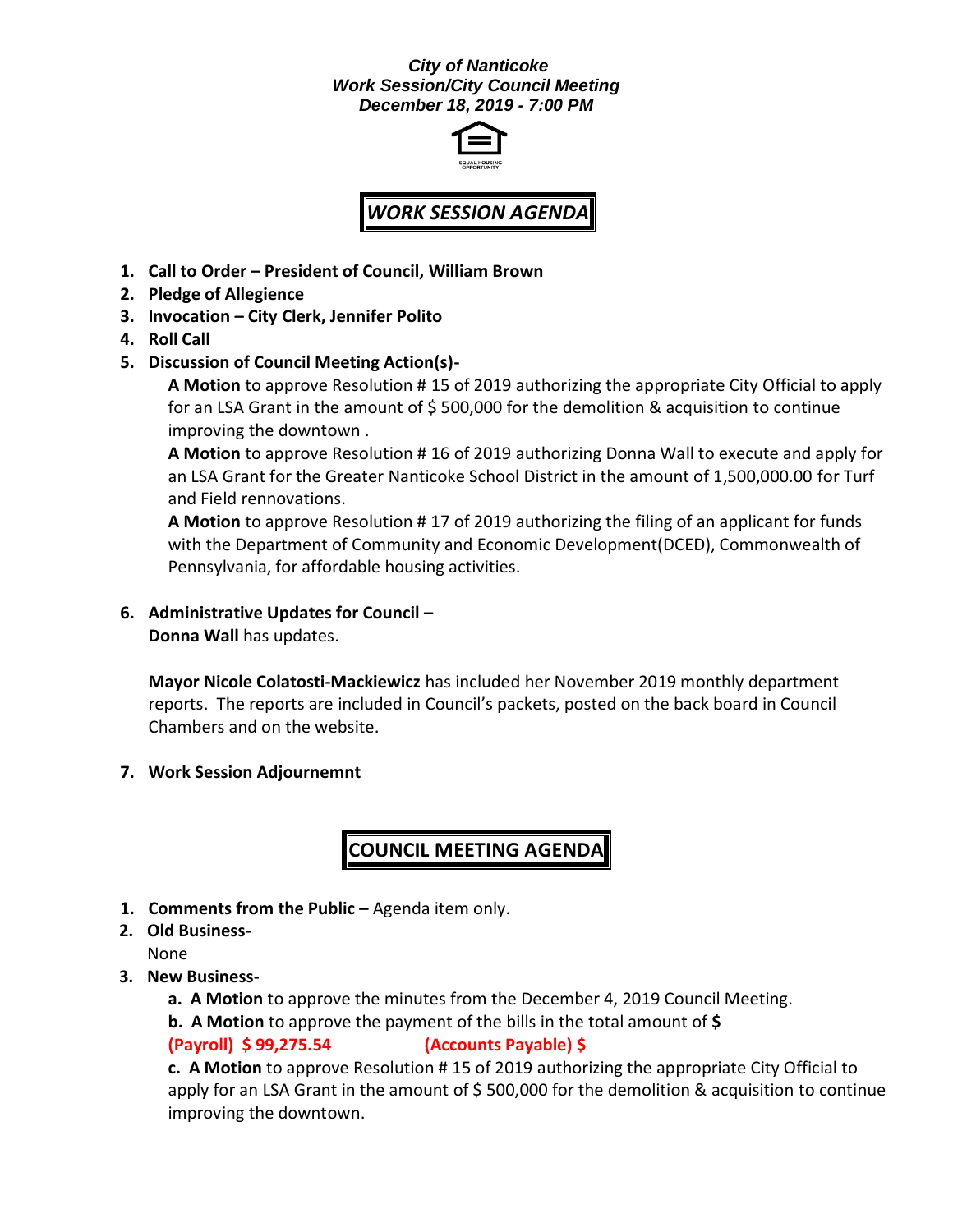#### *City of Nanticoke Work Session/City Council Meeting December 18, 2019 - 7:00 PM*



# *WORK SESSION AGENDA*

- **1. Call to Order – President of Council, William Brown**
- **2. Pledge of Allegience**
- **3. Invocation – City Clerk, Jennifer Polito**
- **4. Roll Call**
- **5. Discussion of Council Meeting Action(s)-**

**A Motion** to approve Resolution # 15 of 2019 authorizing the appropriate City Official to apply for an LSA Grant in the amount of  $$500,000$  for the demolition & acquisition to continue improving the downtown .

**A Motion** to approve Resolution # 16 of 2019 authorizing Donna Wall to execute and apply for an LSA Grant for the Greater Nanticoke School District in the amount of 1,500,000.00 for Turf and Field rennovations.

**A Motion** to approve Resolution # 17 of 2019 authorizing the filing of an applicant for funds with the Department of Community and Economic Development(DCED), Commonwealth of Pennsylvania, for affordable housing activities.

## **6. Administrative Updates for Council –**

**Donna Wall** has updates.

**Mayor Nicole Colatosti-Mackiewicz** has included her November 2019 monthly department reports. The reports are included in Council's packets, posted on the back board in Council Chambers and on the website.

**7. Work Session Adjournemnt**

### **COUNCIL MEETING AGENDA**

- **1. Comments from the Public -** Agenda item only.
- **2. Old Business-**

None

- **3. New Business**
	- **a. A Motion** to approve the minutes from the December 4, 2019 Council Meeting.
	- **b. A Motion** to approve the payment of the bills in the total amount of **\$**

#### **(Payroll) \$ 99,275.54 (Accounts Payable) \$**

**c. A Motion** to approve Resolution # 15 of 2019 authorizing the appropriate City Official to apply for an LSA Grant in the amount of  $\frac{2}{5}$  500,000 for the demolition & acquisition to continue improving the downtown.